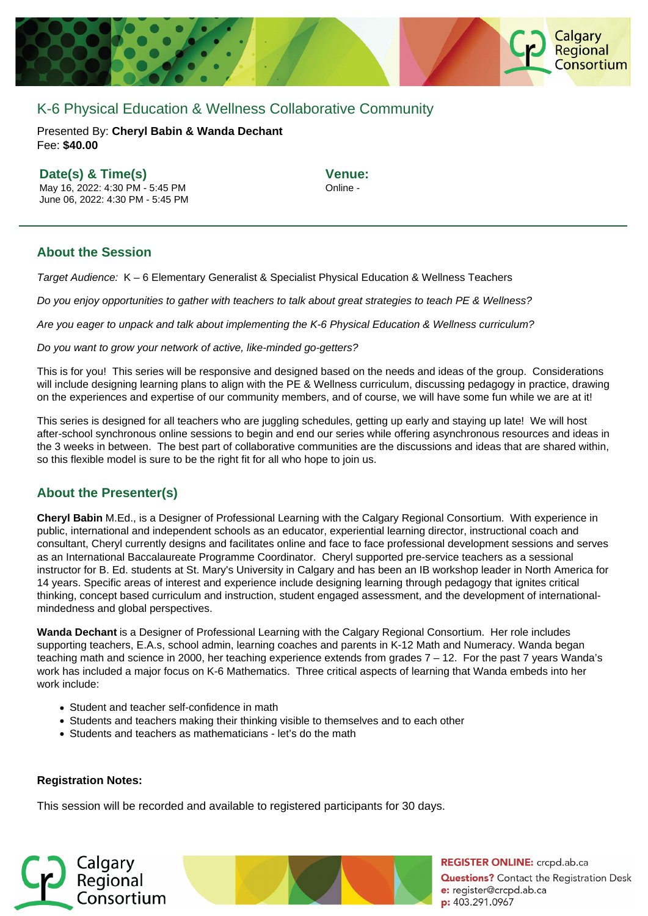

# K-6 Physical Education & Wellness Collaborative Community

Presented By: **Cheryl Babin & Wanda Dechant** Fee: **\$40.00** 

## **Date(s) & Time(s)**

May 16, 2022: 4:30 PM - 5:45 PM June 06, 2022: 4:30 PM - 5:45 PM **Venue:** Online -

## **About the Session**

Target Audience: K – 6 Elementary Generalist & Specialist Physical Education & Wellness Teachers

Do you enjoy opportunities to gather with teachers to talk about great strategies to teach PE & Wellness?

Are you eager to unpack and talk about implementing the K-6 Physical Education & Wellness curriculum?

Do you want to grow your network of active, like-minded go-getters?

This is for you! This series will be responsive and designed based on the needs and ideas of the group. Considerations will include designing learning plans to align with the PE & Wellness curriculum, discussing pedagogy in practice, drawing on the experiences and expertise of our community members, and of course, we will have some fun while we are at it!

This series is designed for all teachers who are juggling schedules, getting up early and staying up late! We will host after-school synchronous online sessions to begin and end our series while offering asynchronous resources and ideas in the 3 weeks in between. The best part of collaborative communities are the discussions and ideas that are shared within, so this flexible model is sure to be the right fit for all who hope to join us.

## **About the Presenter(s)**

**Cheryl Babin** M.Ed., is a Designer of Professional Learning with the Calgary Regional Consortium. With experience in public, international and independent schools as an educator, experiential learning director, instructional coach and consultant, Cheryl currently designs and facilitates online and face to face professional development sessions and serves as an International Baccalaureate Programme Coordinator. Cheryl supported pre-service teachers as a sessional instructor for B. Ed. students at St. Mary's University in Calgary and has been an IB workshop leader in North America for 14 years. Specific areas of interest and experience include designing learning through pedagogy that ignites critical thinking, concept based curriculum and instruction, student engaged assessment, and the development of internationalmindedness and global perspectives.

**Wanda Dechant** is a Designer of Professional Learning with the Calgary Regional Consortium. Her role includes supporting teachers, E.A.s, school admin, learning coaches and parents in K-12 Math and Numeracy. Wanda began teaching math and science in 2000, her teaching experience extends from grades 7 – 12. For the past 7 years Wanda's work has included a major focus on K-6 Mathematics. Three critical aspects of learning that Wanda embeds into her work include:

- Student and teacher self-confidence in math
- Students and teachers making their thinking visible to themselves and to each other
- Students and teachers as mathematicians let's do the math

### **Registration Notes:**

This session will be recorded and available to registered participants for 30 days.





**REGISTER ONLINE:** crcpd.ab.ca **Questions?** Contact the Registration Desk e: register@crcpd.ab.ca p: 403.291.0967